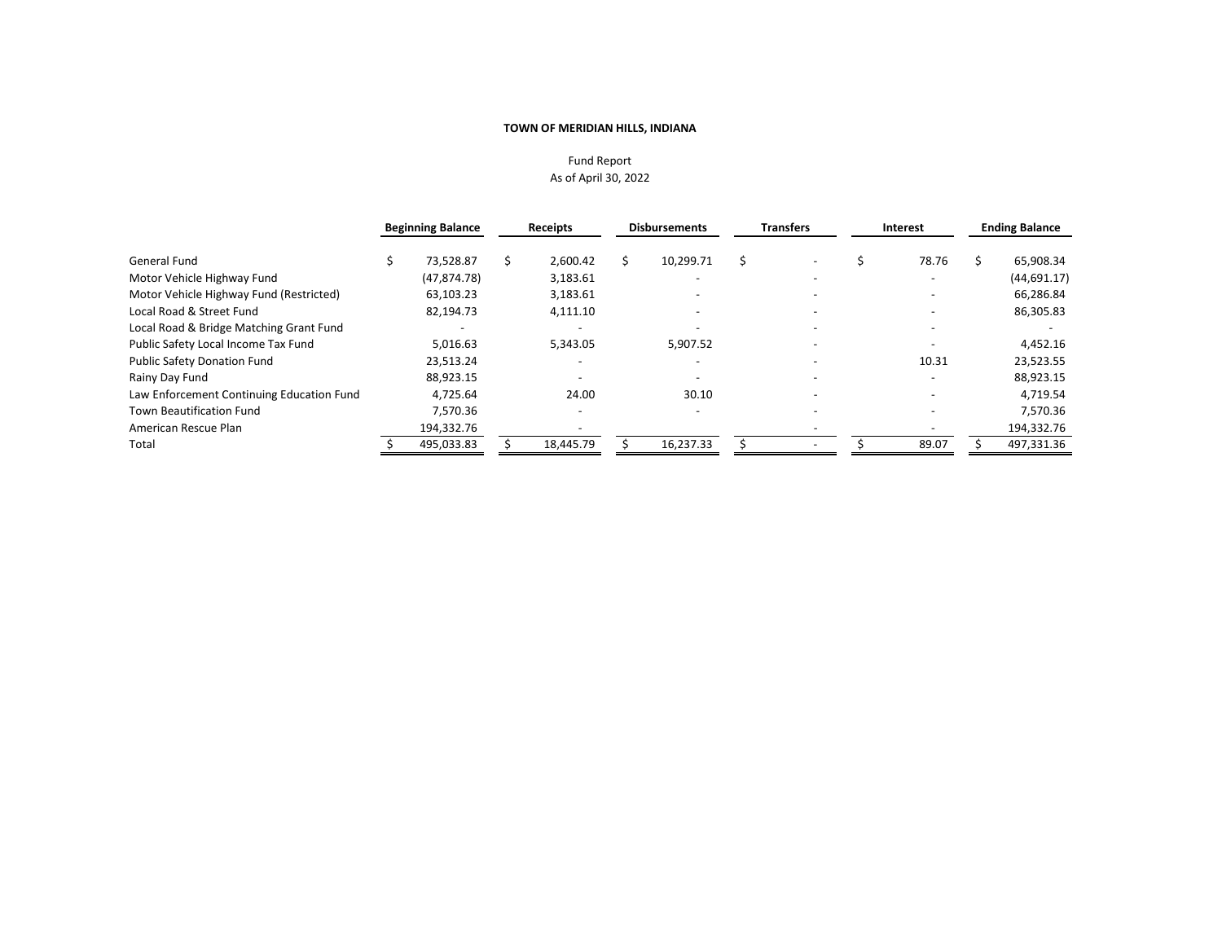# Fund Report As of April 30, 2022

|                                           | <b>Beginning Balance</b> | <b>Receipts</b> | <b>Disbursements</b>     | <b>Transfers</b>         | Interest | <b>Ending Balance</b> |
|-------------------------------------------|--------------------------|-----------------|--------------------------|--------------------------|----------|-----------------------|
| General Fund                              | 73,528.87                | 2,600.42        | 10,299.71                |                          | 78.76    | 65,908.34             |
| Motor Vehicle Highway Fund                | (47, 874.78)             | 3,183.61        |                          | $\overline{\phantom{0}}$ |          | (44, 691.17)          |
| Motor Vehicle Highway Fund (Restricted)   | 63,103.23                | 3,183.61        |                          |                          |          | 66,286.84             |
| Local Road & Street Fund                  | 82,194.73                | 4,111.10        |                          |                          |          | 86,305.83             |
| Local Road & Bridge Matching Grant Fund   |                          |                 |                          |                          |          |                       |
| Public Safety Local Income Tax Fund       | 5.016.63                 | 5.343.05        | 5.907.52                 |                          |          | 4,452.16              |
| <b>Public Safety Donation Fund</b>        | 23,513.24                |                 |                          |                          | 10.31    | 23,523.55             |
| Rainy Day Fund                            | 88.923.15                |                 | $\overline{\phantom{0}}$ |                          |          | 88,923.15             |
| Law Enforcement Continuing Education Fund | 4,725.64                 | 24.00           | 30.10                    |                          |          | 4,719.54              |
| <b>Town Beautification Fund</b>           | 7,570.36                 |                 |                          |                          |          | 7,570.36              |
| American Rescue Plan                      | 194,332.76               |                 |                          |                          |          | 194,332.76            |
| Total                                     | 495,033.83               | 18,445.79       | 16,237.33                |                          | 89.07    | 497,331.36            |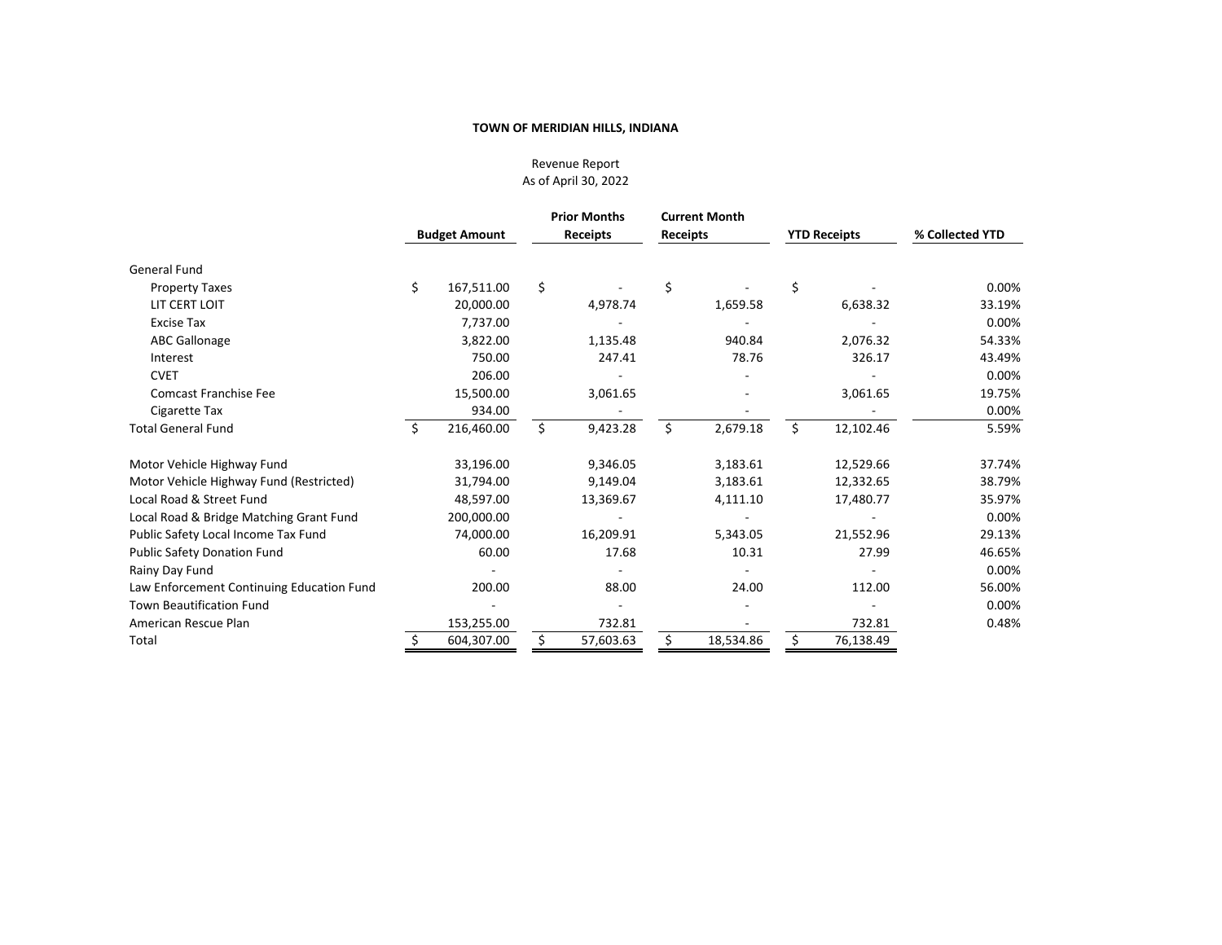Revenue Report As of April 30, 2022

|                                           |    | <b>Budget Amount</b> |    | <b>Prior Months</b><br><b>Receipts</b> | <b>Current Month</b><br>Receipts |           | <b>YTD Receipts</b> |           | % Collected YTD |  |
|-------------------------------------------|----|----------------------|----|----------------------------------------|----------------------------------|-----------|---------------------|-----------|-----------------|--|
| <b>General Fund</b>                       |    |                      |    |                                        |                                  |           |                     |           |                 |  |
| <b>Property Taxes</b>                     | \$ | 167,511.00           | \$ |                                        | \$                               |           | \$                  |           | 0.00%           |  |
| LIT CERT LOIT                             |    | 20,000.00            |    | 4,978.74                               |                                  | 1,659.58  |                     | 6,638.32  | 33.19%          |  |
| <b>Excise Tax</b>                         |    | 7.737.00             |    |                                        |                                  |           |                     |           | 0.00%           |  |
| <b>ABC Gallonage</b>                      |    | 3,822.00             |    | 1,135.48                               |                                  | 940.84    |                     | 2,076.32  | 54.33%          |  |
| Interest                                  |    | 750.00               |    | 247.41                                 |                                  | 78.76     |                     | 326.17    | 43.49%          |  |
| <b>CVET</b>                               |    | 206.00               |    |                                        |                                  |           |                     |           | 0.00%           |  |
| <b>Comcast Franchise Fee</b>              |    | 15,500.00            |    | 3,061.65                               |                                  |           |                     | 3,061.65  | 19.75%          |  |
| Cigarette Tax                             |    | 934.00               |    |                                        |                                  |           |                     |           | 0.00%           |  |
| <b>Total General Fund</b>                 | Ś  | 216,460.00           | Ś. | 9,423.28                               | Ś.                               | 2,679.18  | Ś.                  | 12,102.46 | 5.59%           |  |
| Motor Vehicle Highway Fund                |    | 33,196.00            |    | 9,346.05                               |                                  | 3,183.61  |                     | 12,529.66 | 37.74%          |  |
| Motor Vehicle Highway Fund (Restricted)   |    | 31,794.00            |    | 9,149.04                               |                                  | 3,183.61  |                     | 12,332.65 | 38.79%          |  |
| Local Road & Street Fund                  |    | 48,597.00            |    | 13,369.67                              |                                  | 4,111.10  |                     | 17,480.77 | 35.97%          |  |
| Local Road & Bridge Matching Grant Fund   |    | 200,000.00           |    |                                        |                                  |           |                     |           | 0.00%           |  |
| Public Safety Local Income Tax Fund       |    | 74,000.00            |    | 16,209.91                              |                                  | 5,343.05  |                     | 21,552.96 | 29.13%          |  |
| <b>Public Safety Donation Fund</b>        |    | 60.00                |    | 17.68                                  |                                  | 10.31     |                     | 27.99     | 46.65%          |  |
| Rainy Day Fund                            |    |                      |    |                                        |                                  |           |                     |           | 0.00%           |  |
| Law Enforcement Continuing Education Fund |    | 200.00               |    | 88.00                                  |                                  | 24.00     |                     | 112.00    | 56.00%          |  |
| <b>Town Beautification Fund</b>           |    |                      |    |                                        |                                  |           |                     |           | 0.00%           |  |
| American Rescue Plan                      |    | 153,255.00           |    | 732.81                                 |                                  |           |                     | 732.81    | 0.48%           |  |
| Total                                     |    | 604,307.00           |    | 57,603.63                              |                                  | 18,534.86 |                     | 76,138.49 |                 |  |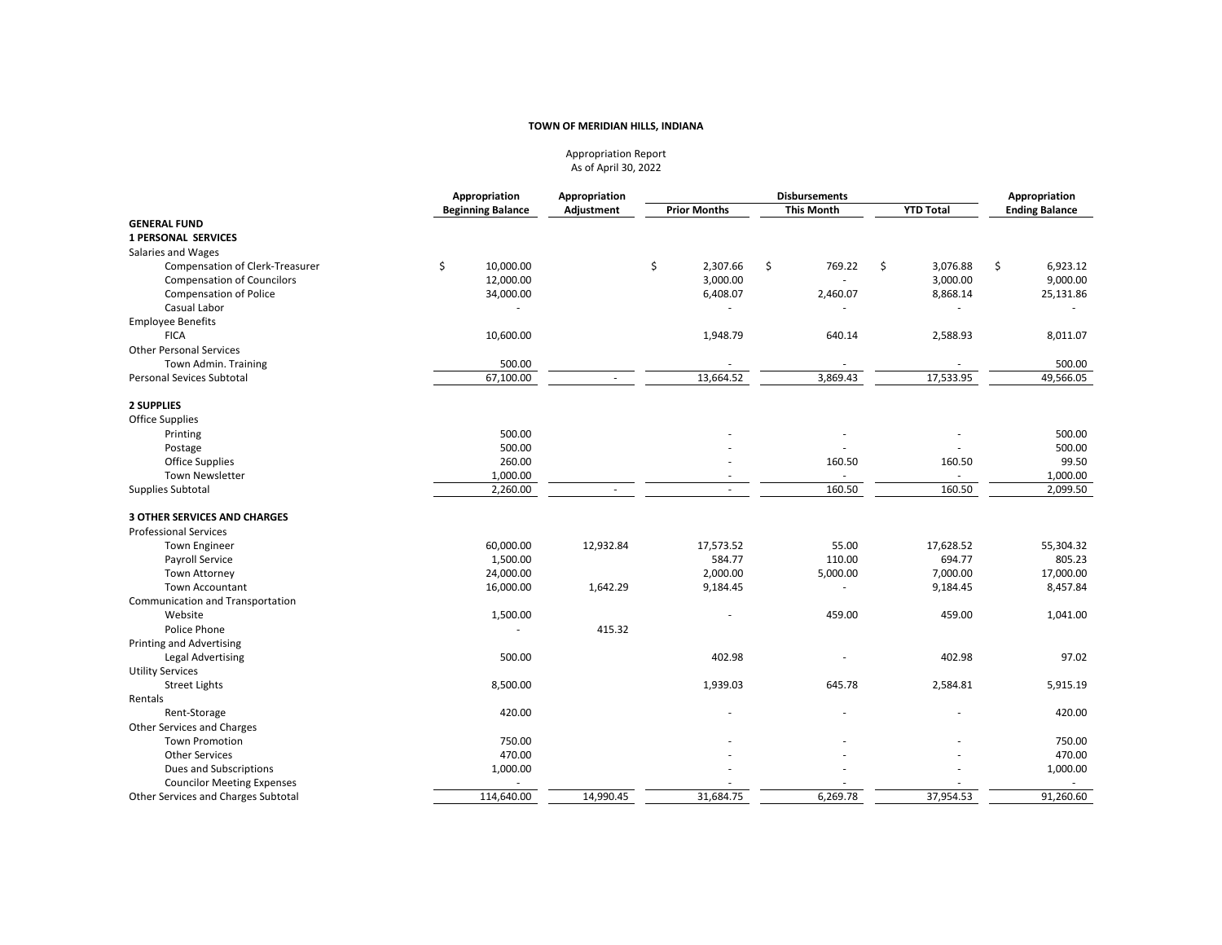Appropriation Report As of April 30, 2022

|                                     | Appropriation            | Appropriation | <b>Disbursements</b>     |                   | Appropriation    |                       |
|-------------------------------------|--------------------------|---------------|--------------------------|-------------------|------------------|-----------------------|
|                                     | <b>Beginning Balance</b> | Adjustment    | <b>Prior Months</b>      | <b>This Month</b> | <b>YTD Total</b> | <b>Ending Balance</b> |
| <b>GENERAL FUND</b>                 |                          |               |                          |                   |                  |                       |
| <b>1 PERSONAL SERVICES</b>          |                          |               |                          |                   |                  |                       |
| Salaries and Wages                  |                          |               |                          |                   |                  |                       |
| Compensation of Clerk-Treasurer     | \$<br>10,000.00          |               | \$<br>2,307.66           | \$<br>769.22      | \$<br>3,076.88   | \$<br>6,923.12        |
| <b>Compensation of Councilors</b>   | 12,000.00                |               | 3,000.00                 |                   | 3,000.00         | 9,000.00              |
| <b>Compensation of Police</b>       | 34,000.00                |               | 6,408.07                 | 2,460.07          | 8,868.14         | 25,131.86             |
| Casual Labor                        |                          |               |                          |                   |                  |                       |
| <b>Employee Benefits</b>            |                          |               |                          |                   |                  |                       |
| <b>FICA</b>                         | 10,600.00                |               | 1,948.79                 | 640.14            | 2,588.93         | 8,011.07              |
| <b>Other Personal Services</b>      |                          |               |                          |                   |                  |                       |
| Town Admin. Training                | 500.00                   |               |                          |                   |                  | 500.00                |
| <b>Personal Sevices Subtotal</b>    | 67,100.00                |               | 13,664.52                | 3,869.43          | 17,533.95        | 49,566.05             |
| 2 SUPPLIES                          |                          |               |                          |                   |                  |                       |
| <b>Office Supplies</b>              |                          |               |                          |                   |                  |                       |
| Printing                            | 500.00                   |               |                          |                   |                  | 500.00                |
| Postage                             | 500.00                   |               |                          |                   |                  | 500.00                |
| <b>Office Supplies</b>              | 260.00                   |               |                          | 160.50            | 160.50           | 99.50                 |
| Town Newsletter                     | 1,000.00                 |               |                          |                   | ÷                | 1,000.00              |
| Supplies Subtotal                   | 2,260.00                 | $\sim$        | $\overline{\phantom{a}}$ | 160.50            | 160.50           | 2,099.50              |
| <b>3 OTHER SERVICES AND CHARGES</b> |                          |               |                          |                   |                  |                       |
| <b>Professional Services</b>        |                          |               |                          |                   |                  |                       |
| <b>Town Engineer</b>                | 60,000.00                | 12,932.84     | 17,573.52                | 55.00             | 17,628.52        | 55,304.32             |
| Payroll Service                     | 1,500.00                 |               | 584.77                   | 110.00            | 694.77           | 805.23                |
| <b>Town Attorney</b>                | 24,000.00                |               | 2,000.00                 | 5,000.00          | 7,000.00         | 17,000.00             |
| <b>Town Accountant</b>              | 16,000.00                | 1,642.29      | 9,184.45                 |                   | 9,184.45         | 8,457.84              |
| Communication and Transportation    |                          |               |                          |                   |                  |                       |
| Website                             | 1,500.00                 |               |                          | 459.00            | 459.00           | 1,041.00              |
| Police Phone                        |                          | 415.32        |                          |                   |                  |                       |
| Printing and Advertising            |                          |               |                          |                   |                  |                       |
| <b>Legal Advertising</b>            | 500.00                   |               | 402.98                   |                   | 402.98           | 97.02                 |
| <b>Utility Services</b>             |                          |               |                          |                   |                  |                       |
| <b>Street Lights</b>                | 8,500.00                 |               | 1,939.03                 | 645.78            | 2,584.81         | 5,915.19              |
| Rentals                             |                          |               |                          |                   |                  |                       |
| Rent-Storage                        | 420.00                   |               |                          |                   |                  | 420.00                |
| Other Services and Charges          |                          |               |                          |                   |                  |                       |
| <b>Town Promotion</b>               | 750.00                   |               |                          |                   |                  | 750.00                |
| <b>Other Services</b>               | 470.00                   |               |                          |                   |                  | 470.00                |
| Dues and Subscriptions              | 1,000.00                 |               |                          |                   |                  | 1,000.00              |
| <b>Councilor Meeting Expenses</b>   |                          |               |                          |                   |                  |                       |
| Other Services and Charges Subtotal | 114,640.00               | 14.990.45     | 31,684.75                | 6,269.78          | 37,954.53        | 91,260.60             |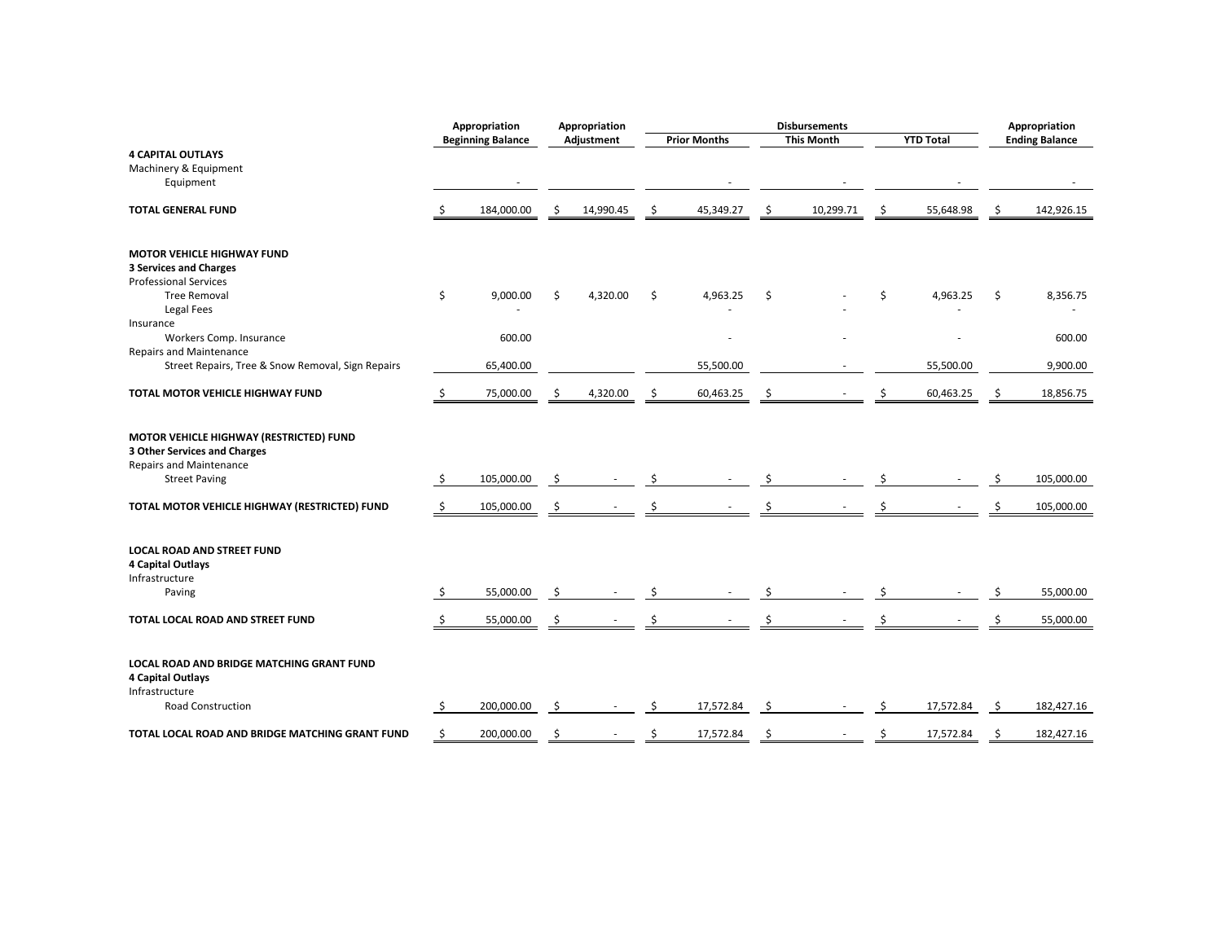|                                                                                                                                   |    | Appropriation            |     | Appropriation | <b>Disbursements</b> |                     |    | Appropriation     |                  |     |                       |
|-----------------------------------------------------------------------------------------------------------------------------------|----|--------------------------|-----|---------------|----------------------|---------------------|----|-------------------|------------------|-----|-----------------------|
|                                                                                                                                   |    | <b>Beginning Balance</b> |     | Adjustment    |                      | <b>Prior Months</b> |    | <b>This Month</b> | <b>YTD Total</b> |     | <b>Ending Balance</b> |
| <b>4 CAPITAL OUTLAYS</b>                                                                                                          |    |                          |     |               |                      |                     |    |                   |                  |     |                       |
| Machinery & Equipment                                                                                                             |    |                          |     |               |                      |                     |    |                   |                  |     |                       |
| Equipment                                                                                                                         |    |                          |     |               |                      |                     |    |                   |                  |     |                       |
| <b>TOTAL GENERAL FUND</b>                                                                                                         | Ŝ. | 184,000.00               | \$. | 14,990.45     | \$                   | 45,349.27           | \$ | 10,299.71         | \$<br>55,648.98  | \$  | 142,926.15            |
| <b>MOTOR VEHICLE HIGHWAY FUND</b>                                                                                                 |    |                          |     |               |                      |                     |    |                   |                  |     |                       |
| <b>3 Services and Charges</b>                                                                                                     |    |                          |     |               |                      |                     |    |                   |                  |     |                       |
| <b>Professional Services</b>                                                                                                      |    |                          |     |               |                      |                     |    |                   |                  |     |                       |
| <b>Tree Removal</b><br>Legal Fees                                                                                                 | \$ | 9,000.00                 | \$  | 4,320.00      | \$                   | 4,963.25            | \$ |                   | \$<br>4,963.25   | \$  | 8,356.75              |
| Insurance                                                                                                                         |    |                          |     |               |                      |                     |    |                   |                  |     |                       |
| Workers Comp. Insurance                                                                                                           |    | 600.00                   |     |               |                      |                     |    |                   |                  |     | 600.00                |
| <b>Repairs and Maintenance</b>                                                                                                    |    |                          |     |               |                      |                     |    |                   |                  |     |                       |
| Street Repairs, Tree & Snow Removal, Sign Repairs                                                                                 |    | 65,400.00                |     |               |                      | 55,500.00           |    |                   | 55,500.00        |     | 9,900.00              |
| TOTAL MOTOR VEHICLE HIGHWAY FUND                                                                                                  | \$ | 75,000.00                |     | 4,320.00      |                      | 60,463.25           |    |                   | 60,463.25        |     | 18,856.75             |
| MOTOR VEHICLE HIGHWAY (RESTRICTED) FUND<br>3 Other Services and Charges<br><b>Repairs and Maintenance</b><br><b>Street Paving</b> | \$ | 105,000.00               | \$. |               |                      |                     |    |                   |                  |     | 105,000.00            |
| TOTAL MOTOR VEHICLE HIGHWAY (RESTRICTED) FUND                                                                                     | Ŝ. | 105,000.00               | Ŝ   |               |                      |                     |    |                   |                  |     | 105,000.00            |
| <b>LOCAL ROAD AND STREET FUND</b><br>4 Capital Outlays<br>Infrastructure                                                          |    |                          |     |               |                      |                     |    |                   |                  |     |                       |
| Paving                                                                                                                            | \$ | 55,000.00                | Ŝ.  |               |                      |                     |    |                   |                  |     | 55,000.00             |
| TOTAL LOCAL ROAD AND STREET FUND                                                                                                  | Ŝ  | 55,000.00                | S   |               |                      |                     |    |                   |                  |     | 55,000.00             |
| <b>LOCAL ROAD AND BRIDGE MATCHING GRANT FUND</b><br>4 Capital Outlays<br>Infrastructure                                           |    |                          |     |               |                      |                     |    |                   |                  |     |                       |
| Road Construction                                                                                                                 | Ŝ. | 200,000.00               | .s  |               |                      | 17,572.84           | Ŝ. |                   | 17,572.84        | -\$ | 182,427.16            |
| TOTAL LOCAL ROAD AND BRIDGE MATCHING GRANT FUND                                                                                   | Ś  | 200,000.00               | Ś   |               |                      | 17,572.84           | Ś  |                   | \$<br>17,572.84  |     | 182,427.16            |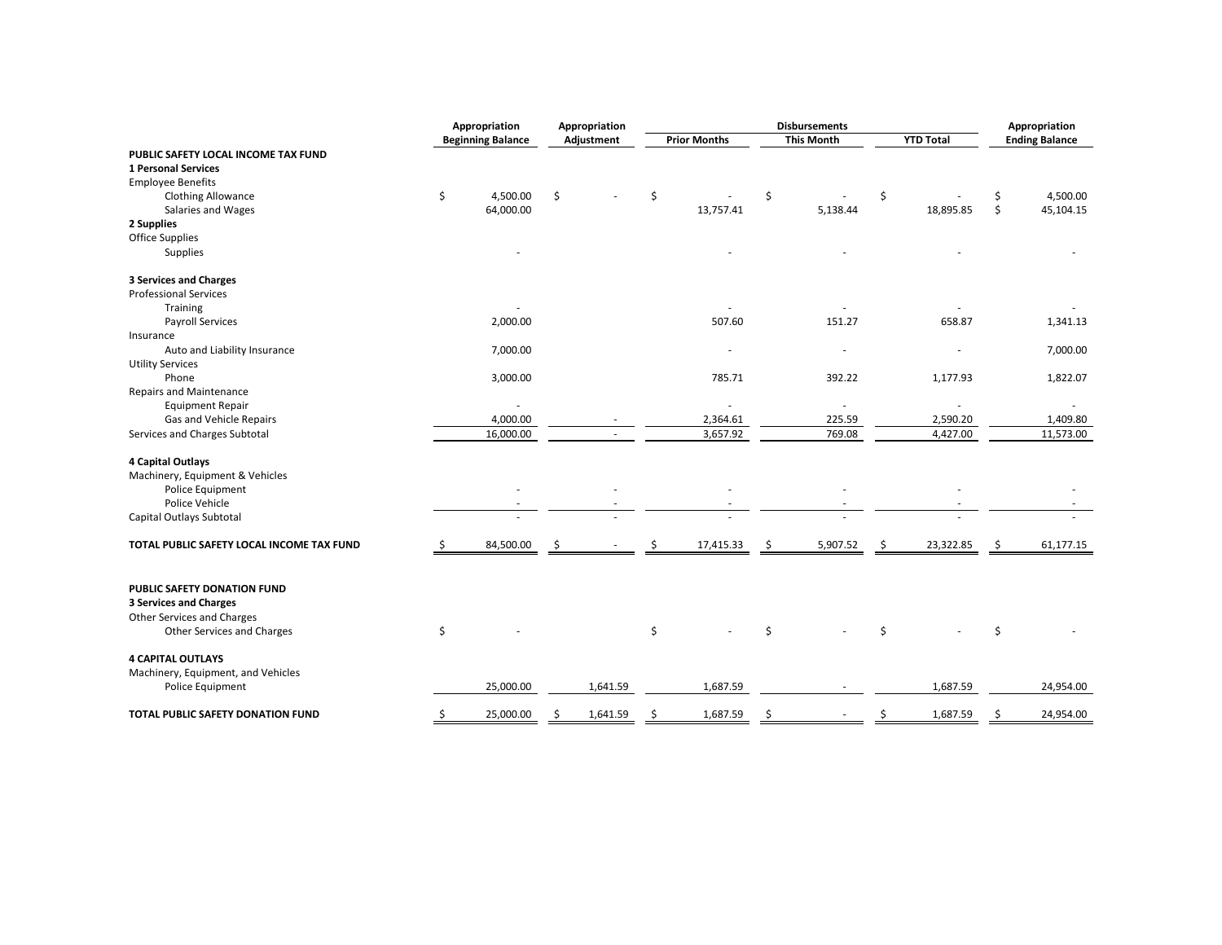|                                           | Appropriation            |    | Appropriation | <b>Disbursements</b> |                     |                   | Appropriation |                  |    |                       |
|-------------------------------------------|--------------------------|----|---------------|----------------------|---------------------|-------------------|---------------|------------------|----|-----------------------|
|                                           | <b>Beginning Balance</b> |    | Adjustment    |                      | <b>Prior Months</b> | <b>This Month</b> |               | <b>YTD Total</b> |    | <b>Ending Balance</b> |
| PUBLIC SAFETY LOCAL INCOME TAX FUND       |                          |    |               |                      |                     |                   |               |                  |    |                       |
| <b>1 Personal Services</b>                |                          |    |               |                      |                     |                   |               |                  |    |                       |
| <b>Employee Benefits</b>                  |                          |    |               |                      |                     |                   |               |                  |    |                       |
| <b>Clothing Allowance</b>                 | \$<br>4,500.00           | \$ |               | \$                   |                     | \$                | \$            |                  | \$ | 4,500.00              |
| Salaries and Wages                        | 64,000.00                |    |               |                      | 13,757.41           | 5,138.44          |               | 18,895.85        | \$ | 45,104.15             |
| 2 Supplies                                |                          |    |               |                      |                     |                   |               |                  |    |                       |
| <b>Office Supplies</b>                    |                          |    |               |                      |                     |                   |               |                  |    |                       |
| Supplies                                  |                          |    |               |                      |                     |                   |               |                  |    |                       |
| <b>3 Services and Charges</b>             |                          |    |               |                      |                     |                   |               |                  |    |                       |
| <b>Professional Services</b>              |                          |    |               |                      |                     |                   |               |                  |    |                       |
| Training                                  |                          |    |               |                      |                     |                   |               |                  |    |                       |
| <b>Payroll Services</b>                   | 2,000.00                 |    |               |                      | 507.60              | 151.27            |               | 658.87           |    | 1,341.13              |
| Insurance                                 |                          |    |               |                      |                     |                   |               |                  |    |                       |
| Auto and Liability Insurance              | 7,000.00                 |    |               |                      |                     |                   |               |                  |    | 7,000.00              |
| <b>Utility Services</b>                   |                          |    |               |                      |                     |                   |               |                  |    |                       |
| Phone                                     | 3,000.00                 |    |               |                      | 785.71              | 392.22            |               | 1,177.93         |    | 1,822.07              |
| <b>Repairs and Maintenance</b>            |                          |    |               |                      |                     |                   |               |                  |    |                       |
| <b>Equipment Repair</b>                   |                          |    |               |                      |                     |                   |               |                  |    |                       |
| Gas and Vehicle Repairs                   | 4,000.00                 |    |               |                      | 2,364.61            | 225.59            |               | 2,590.20         |    | 1,409.80              |
| Services and Charges Subtotal             | 16,000.00                |    |               |                      | 3,657.92            | 769.08            |               | 4,427.00         |    | 11,573.00             |
| 4 Capital Outlays                         |                          |    |               |                      |                     |                   |               |                  |    |                       |
| Machinery, Equipment & Vehicles           |                          |    |               |                      |                     |                   |               |                  |    |                       |
| Police Equipment                          |                          |    |               |                      |                     |                   |               |                  |    |                       |
| Police Vehicle                            |                          |    |               |                      |                     |                   |               |                  |    |                       |
| Capital Outlays Subtotal                  |                          |    |               |                      |                     |                   |               |                  |    |                       |
| TOTAL PUBLIC SAFETY LOCAL INCOME TAX FUND | \$<br>84,500.00          | \$ |               |                      | 17,415.33           | \$<br>5,907.52    | \$            | 23,322.85        | \$ | 61,177.15             |
| PUBLIC SAFETY DONATION FUND               |                          |    |               |                      |                     |                   |               |                  |    |                       |
| <b>3 Services and Charges</b>             |                          |    |               |                      |                     |                   |               |                  |    |                       |
| Other Services and Charges                |                          |    |               |                      |                     |                   |               |                  |    |                       |
| Other Services and Charges                | \$                       |    |               | \$                   |                     | \$                | Ś             |                  | \$ |                       |
| <b>4 CAPITAL OUTLAYS</b>                  |                          |    |               |                      |                     |                   |               |                  |    |                       |
| Machinery, Equipment, and Vehicles        |                          |    |               |                      |                     |                   |               |                  |    |                       |
| Police Equipment                          | 25,000.00                |    | 1,641.59      |                      | 1,687.59            |                   |               | 1,687.59         |    | 24,954.00             |
| TOTAL PUBLIC SAFETY DONATION FUND         | \$<br>25,000.00          | Ś  | 1,641.59      | Ś                    | 1,687.59            | \$                | \$            | 1,687.59         | \$ | 24,954.00             |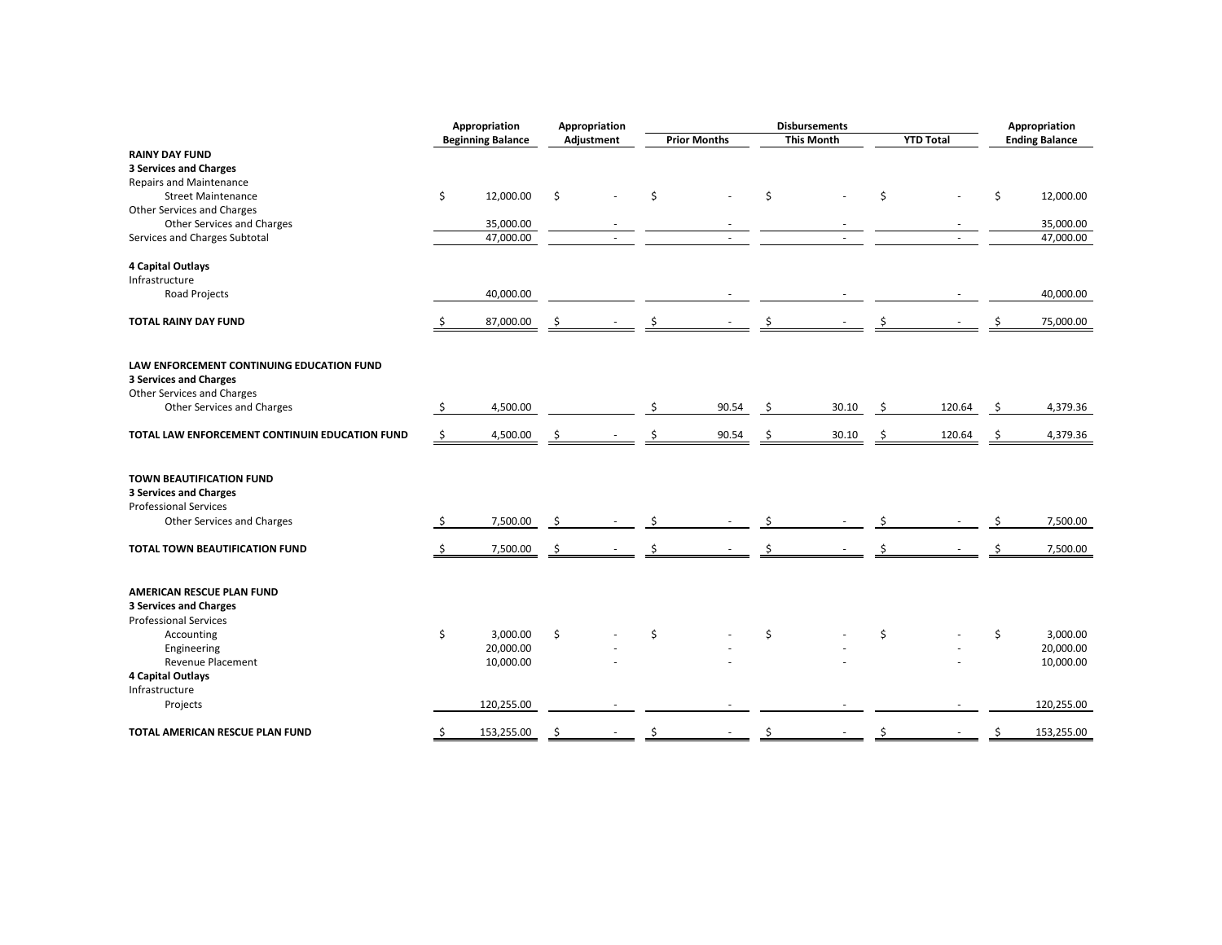| <b>Beginning Balance</b><br>Adjustment<br><b>Prior Months</b><br><b>This Month</b><br><b>YTD Total</b><br><b>Ending Balance</b><br><b>RAINY DAY FUND</b><br><b>3 Services and Charges</b><br><b>Repairs and Maintenance</b><br>\$<br>12,000.00<br>\$<br>\$<br>\$<br>\$<br>\$<br><b>Street Maintenance</b><br>12,000.00<br>Other Services and Charges<br>Other Services and Charges<br>35,000.00<br>35,000.00<br>Services and Charges Subtotal<br>47,000.00<br>47,000.00<br>×.<br>×.<br>$\overline{a}$<br>4 Capital Outlays<br>Infrastructure<br>40,000.00<br>Road Projects<br>40,000.00<br>75,000.00<br><b>TOTAL RAINY DAY FUND</b><br>87,000.00<br>\$<br>-\$<br>\$.<br>LAW ENFORCEMENT CONTINUING EDUCATION FUND<br><b>3 Services and Charges</b><br>Other Services and Charges<br>4,500.00<br>Other Services and Charges<br>\$<br>90.54<br>30.10<br>120.64<br>\$<br>4,379.36<br>\$<br>Ŝ.<br>4,500.00<br>90.54<br>30.10<br>120.64<br>4,379.36<br>TOTAL LAW ENFORCEMENT CONTINUIN EDUCATION FUND<br>-\$<br>\$<br>\$.<br>\$<br>-S<br>TOWN BEAUTIFICATION FUND<br><b>3 Services and Charges</b><br><b>Professional Services</b> |
|-------------------------------------------------------------------------------------------------------------------------------------------------------------------------------------------------------------------------------------------------------------------------------------------------------------------------------------------------------------------------------------------------------------------------------------------------------------------------------------------------------------------------------------------------------------------------------------------------------------------------------------------------------------------------------------------------------------------------------------------------------------------------------------------------------------------------------------------------------------------------------------------------------------------------------------------------------------------------------------------------------------------------------------------------------------------------------------------------------------------------------|
|                                                                                                                                                                                                                                                                                                                                                                                                                                                                                                                                                                                                                                                                                                                                                                                                                                                                                                                                                                                                                                                                                                                               |
|                                                                                                                                                                                                                                                                                                                                                                                                                                                                                                                                                                                                                                                                                                                                                                                                                                                                                                                                                                                                                                                                                                                               |
|                                                                                                                                                                                                                                                                                                                                                                                                                                                                                                                                                                                                                                                                                                                                                                                                                                                                                                                                                                                                                                                                                                                               |
|                                                                                                                                                                                                                                                                                                                                                                                                                                                                                                                                                                                                                                                                                                                                                                                                                                                                                                                                                                                                                                                                                                                               |
|                                                                                                                                                                                                                                                                                                                                                                                                                                                                                                                                                                                                                                                                                                                                                                                                                                                                                                                                                                                                                                                                                                                               |
|                                                                                                                                                                                                                                                                                                                                                                                                                                                                                                                                                                                                                                                                                                                                                                                                                                                                                                                                                                                                                                                                                                                               |
|                                                                                                                                                                                                                                                                                                                                                                                                                                                                                                                                                                                                                                                                                                                                                                                                                                                                                                                                                                                                                                                                                                                               |
|                                                                                                                                                                                                                                                                                                                                                                                                                                                                                                                                                                                                                                                                                                                                                                                                                                                                                                                                                                                                                                                                                                                               |
|                                                                                                                                                                                                                                                                                                                                                                                                                                                                                                                                                                                                                                                                                                                                                                                                                                                                                                                                                                                                                                                                                                                               |
|                                                                                                                                                                                                                                                                                                                                                                                                                                                                                                                                                                                                                                                                                                                                                                                                                                                                                                                                                                                                                                                                                                                               |
|                                                                                                                                                                                                                                                                                                                                                                                                                                                                                                                                                                                                                                                                                                                                                                                                                                                                                                                                                                                                                                                                                                                               |
|                                                                                                                                                                                                                                                                                                                                                                                                                                                                                                                                                                                                                                                                                                                                                                                                                                                                                                                                                                                                                                                                                                                               |
|                                                                                                                                                                                                                                                                                                                                                                                                                                                                                                                                                                                                                                                                                                                                                                                                                                                                                                                                                                                                                                                                                                                               |
|                                                                                                                                                                                                                                                                                                                                                                                                                                                                                                                                                                                                                                                                                                                                                                                                                                                                                                                                                                                                                                                                                                                               |
|                                                                                                                                                                                                                                                                                                                                                                                                                                                                                                                                                                                                                                                                                                                                                                                                                                                                                                                                                                                                                                                                                                                               |
|                                                                                                                                                                                                                                                                                                                                                                                                                                                                                                                                                                                                                                                                                                                                                                                                                                                                                                                                                                                                                                                                                                                               |
|                                                                                                                                                                                                                                                                                                                                                                                                                                                                                                                                                                                                                                                                                                                                                                                                                                                                                                                                                                                                                                                                                                                               |
|                                                                                                                                                                                                                                                                                                                                                                                                                                                                                                                                                                                                                                                                                                                                                                                                                                                                                                                                                                                                                                                                                                                               |
|                                                                                                                                                                                                                                                                                                                                                                                                                                                                                                                                                                                                                                                                                                                                                                                                                                                                                                                                                                                                                                                                                                                               |
|                                                                                                                                                                                                                                                                                                                                                                                                                                                                                                                                                                                                                                                                                                                                                                                                                                                                                                                                                                                                                                                                                                                               |
|                                                                                                                                                                                                                                                                                                                                                                                                                                                                                                                                                                                                                                                                                                                                                                                                                                                                                                                                                                                                                                                                                                                               |
|                                                                                                                                                                                                                                                                                                                                                                                                                                                                                                                                                                                                                                                                                                                                                                                                                                                                                                                                                                                                                                                                                                                               |
|                                                                                                                                                                                                                                                                                                                                                                                                                                                                                                                                                                                                                                                                                                                                                                                                                                                                                                                                                                                                                                                                                                                               |
|                                                                                                                                                                                                                                                                                                                                                                                                                                                                                                                                                                                                                                                                                                                                                                                                                                                                                                                                                                                                                                                                                                                               |
|                                                                                                                                                                                                                                                                                                                                                                                                                                                                                                                                                                                                                                                                                                                                                                                                                                                                                                                                                                                                                                                                                                                               |
|                                                                                                                                                                                                                                                                                                                                                                                                                                                                                                                                                                                                                                                                                                                                                                                                                                                                                                                                                                                                                                                                                                                               |
|                                                                                                                                                                                                                                                                                                                                                                                                                                                                                                                                                                                                                                                                                                                                                                                                                                                                                                                                                                                                                                                                                                                               |
| Other Services and Charges<br>7,500.00<br>-\$<br>7,500.00<br>\$<br>\$                                                                                                                                                                                                                                                                                                                                                                                                                                                                                                                                                                                                                                                                                                                                                                                                                                                                                                                                                                                                                                                         |
|                                                                                                                                                                                                                                                                                                                                                                                                                                                                                                                                                                                                                                                                                                                                                                                                                                                                                                                                                                                                                                                                                                                               |
| 7,500.00<br>7,500.00<br>TOTAL TOWN BEAUTIFICATION FUND<br>-\$<br>-S                                                                                                                                                                                                                                                                                                                                                                                                                                                                                                                                                                                                                                                                                                                                                                                                                                                                                                                                                                                                                                                           |
|                                                                                                                                                                                                                                                                                                                                                                                                                                                                                                                                                                                                                                                                                                                                                                                                                                                                                                                                                                                                                                                                                                                               |
|                                                                                                                                                                                                                                                                                                                                                                                                                                                                                                                                                                                                                                                                                                                                                                                                                                                                                                                                                                                                                                                                                                                               |
| AMERICAN RESCUE PLAN FUND                                                                                                                                                                                                                                                                                                                                                                                                                                                                                                                                                                                                                                                                                                                                                                                                                                                                                                                                                                                                                                                                                                     |
| <b>3 Services and Charges</b>                                                                                                                                                                                                                                                                                                                                                                                                                                                                                                                                                                                                                                                                                                                                                                                                                                                                                                                                                                                                                                                                                                 |
| <b>Professional Services</b>                                                                                                                                                                                                                                                                                                                                                                                                                                                                                                                                                                                                                                                                                                                                                                                                                                                                                                                                                                                                                                                                                                  |
| \$<br>\$<br>3,000.00<br>\$<br>3,000.00<br>Ś<br>\$<br>\$<br>Accounting                                                                                                                                                                                                                                                                                                                                                                                                                                                                                                                                                                                                                                                                                                                                                                                                                                                                                                                                                                                                                                                         |
| 20,000.00<br>20,000.00<br>Engineering                                                                                                                                                                                                                                                                                                                                                                                                                                                                                                                                                                                                                                                                                                                                                                                                                                                                                                                                                                                                                                                                                         |
| Revenue Placement<br>10,000.00<br>10,000.00                                                                                                                                                                                                                                                                                                                                                                                                                                                                                                                                                                                                                                                                                                                                                                                                                                                                                                                                                                                                                                                                                   |
| 4 Capital Outlays                                                                                                                                                                                                                                                                                                                                                                                                                                                                                                                                                                                                                                                                                                                                                                                                                                                                                                                                                                                                                                                                                                             |
| Infrastructure                                                                                                                                                                                                                                                                                                                                                                                                                                                                                                                                                                                                                                                                                                                                                                                                                                                                                                                                                                                                                                                                                                                |
|                                                                                                                                                                                                                                                                                                                                                                                                                                                                                                                                                                                                                                                                                                                                                                                                                                                                                                                                                                                                                                                                                                                               |
| 120,255.00<br>120,255.00<br>Projects                                                                                                                                                                                                                                                                                                                                                                                                                                                                                                                                                                                                                                                                                                                                                                                                                                                                                                                                                                                                                                                                                          |
| \$<br>153,255.00<br>\$<br>153,255.00<br>TOTAL AMERICAN RESCUE PLAN FUND<br>Ś<br>ς<br>Ś.<br>Ś                                                                                                                                                                                                                                                                                                                                                                                                                                                                                                                                                                                                                                                                                                                                                                                                                                                                                                                                                                                                                                  |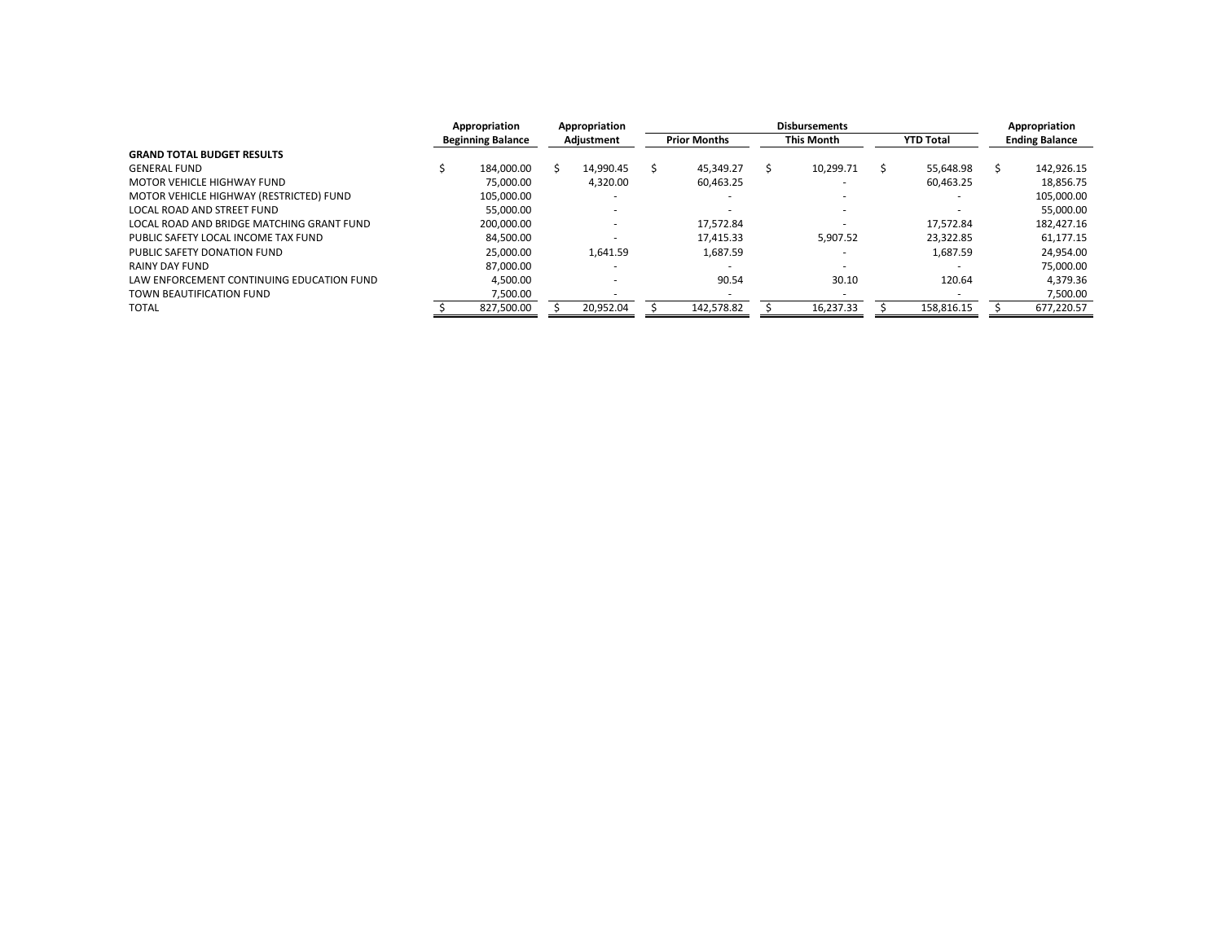|                                           | Appropriation |                          | Appropriation |            |  | <b>Disbursements</b> |  |                          |  |                  |  | Appropriation         |  |
|-------------------------------------------|---------------|--------------------------|---------------|------------|--|----------------------|--|--------------------------|--|------------------|--|-----------------------|--|
|                                           |               | <b>Beginning Balance</b> |               | Adjustment |  | <b>Prior Months</b>  |  | <b>This Month</b>        |  | <b>YTD Total</b> |  | <b>Ending Balance</b> |  |
| <b>GRAND TOTAL BUDGET RESULTS</b>         |               |                          |               |            |  |                      |  |                          |  |                  |  |                       |  |
| <b>GENERAL FUND</b>                       |               | 184.000.00               |               | 14.990.45  |  | 45.349.27            |  | 10,299.71                |  | 55.648.98        |  | 142.926.15            |  |
| MOTOR VEHICLE HIGHWAY FUND                |               | 75.000.00                |               | 4.320.00   |  | 60,463.25            |  |                          |  | 60,463.25        |  | 18,856.75             |  |
| MOTOR VEHICLE HIGHWAY (RESTRICTED) FUND   |               | 105.000.00               |               |            |  |                      |  |                          |  |                  |  | 105.000.00            |  |
| LOCAL ROAD AND STREET FUND                |               | 55.000.00                |               |            |  |                      |  | $\overline{\phantom{a}}$ |  |                  |  | 55.000.00             |  |
| LOCAL ROAD AND BRIDGE MATCHING GRANT FUND |               | 200.000.00               |               |            |  | 17.572.84            |  |                          |  | 17.572.84        |  | 182.427.16            |  |
| PUBLIC SAFETY LOCAL INCOME TAX FUND       |               | 84.500.00                |               |            |  | 17.415.33            |  | 5.907.52                 |  | 23.322.85        |  | 61.177.15             |  |
| PUBLIC SAFETY DONATION FUND               |               | 25.000.00                |               | 1,641.59   |  | 1,687.59             |  |                          |  | 1,687.59         |  | 24,954.00             |  |
| RAINY DAY FUND                            |               | 87.000.00                |               |            |  |                      |  |                          |  |                  |  | 75.000.00             |  |
| LAW ENFORCEMENT CONTINUING EDUCATION FUND |               | 4.500.00                 |               |            |  | 90.54                |  | 30.10                    |  | 120.64           |  | 4.379.36              |  |
| TOWN BEAUTIFICATION FUND                  |               | 7,500.00                 |               |            |  |                      |  |                          |  |                  |  | 7,500.00              |  |
| <b>TOTAL</b>                              |               | 827,500.00               |               | 20,952.04  |  | 142,578.82           |  | 16,237.33                |  | 158,816.15       |  | 677,220.57            |  |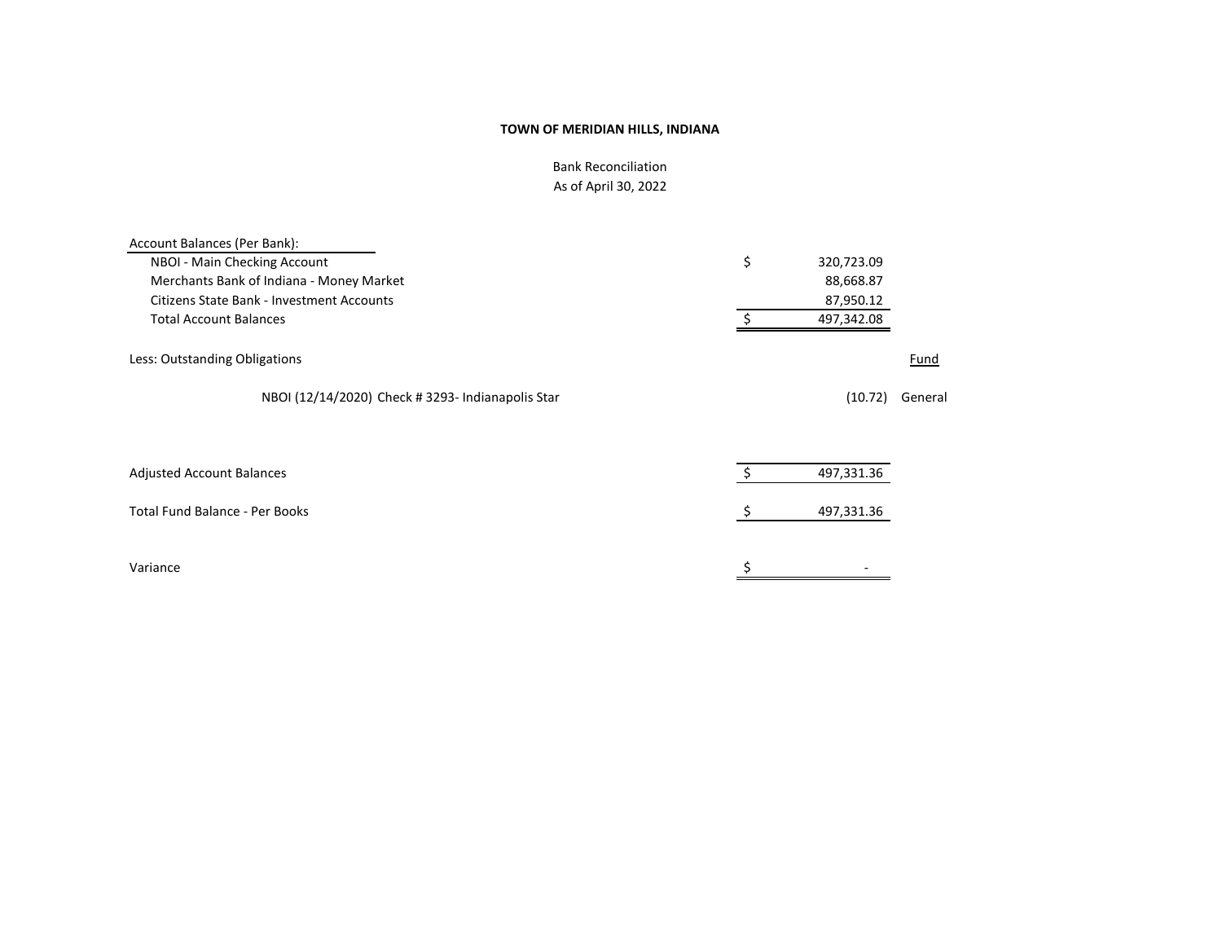Bank Reconciliation As of April 30, 2022

| Account Balances (Per Bank):                      |    |            |         |
|---------------------------------------------------|----|------------|---------|
| NBOI - Main Checking Account                      | \$ | 320,723.09 |         |
| Merchants Bank of Indiana - Money Market          |    | 88,668.87  |         |
| <b>Citizens State Bank - Investment Accounts</b>  |    | 87,950.12  |         |
| <b>Total Account Balances</b>                     |    | 497,342.08 |         |
| Less: Outstanding Obligations                     |    |            | Fund    |
| NBOI (12/14/2020) Check # 3293- Indianapolis Star |    | (10.72)    | General |
|                                                   |    |            |         |
| <b>Adjusted Account Balances</b>                  | Ŝ. | 497,331.36 |         |
| <b>Total Fund Balance - Per Books</b>             | \$ | 497,331.36 |         |
| Variance                                          | \$ |            |         |